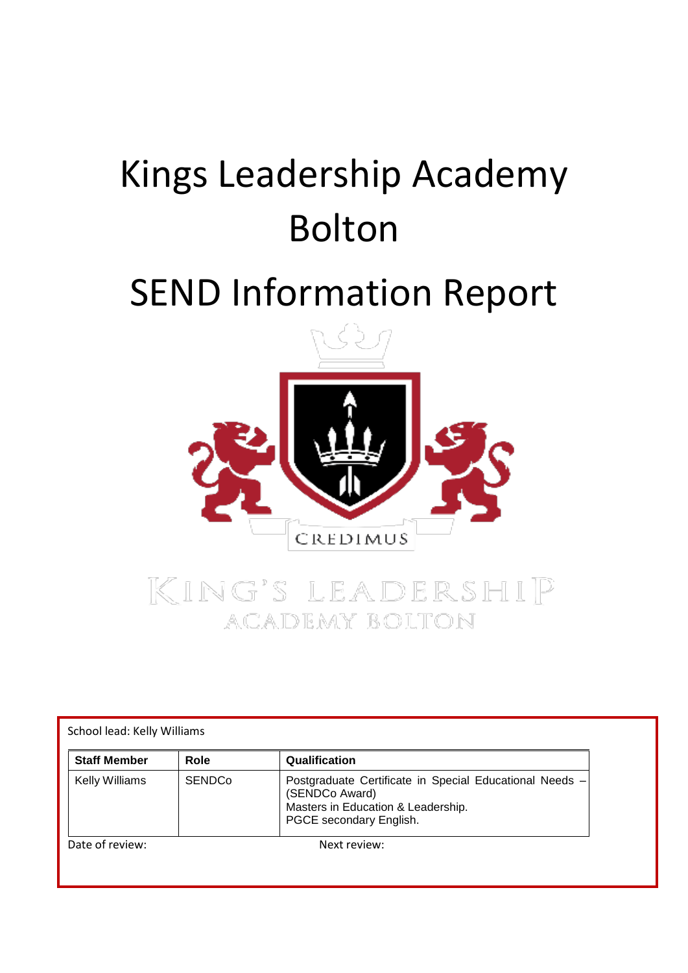# Kings Leadership Academy Bolton

# SEND Information Report



School lead: Kelly Williams

| <b>Staff Member</b>   | Role          | Qualification                                                                                                                              |
|-----------------------|---------------|--------------------------------------------------------------------------------------------------------------------------------------------|
| <b>Kelly Williams</b> | <b>SENDCo</b> | Postgraduate Certificate in Special Educational Needs -<br>(SENDCo Award)<br>Masters in Education & Leadership.<br>PGCE secondary English. |
| Date of review:       |               | Next review:                                                                                                                               |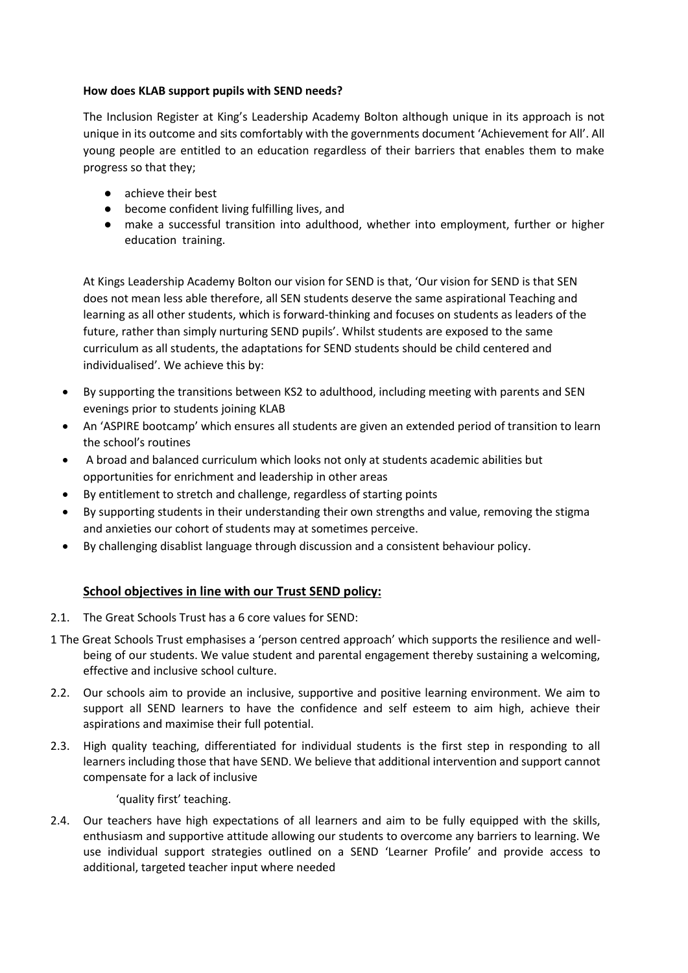#### **How does KLAB support pupils with SEND needs?**

The Inclusion Register at King's Leadership Academy Bolton although unique in its approach is not unique in its outcome and sits comfortably with the governments document 'Achievement for All'. All young people are entitled to an education regardless of their barriers that enables them to make progress so that they;

- achieve their best
- become confident living fulfilling lives, and
- make a successful transition into adulthood, whether into employment, further or higher education training.

At Kings Leadership Academy Bolton our vision for SEND is that, 'Our vision for SEND is that SEN does not mean less able therefore, all SEN students deserve the same aspirational Teaching and learning as all other students, which is forward-thinking and focuses on students as leaders of the future, rather than simply nurturing SEND pupils'. Whilst students are exposed to the same curriculum as all students, the adaptations for SEND students should be child centered and individualised'. We achieve this by:

- By supporting the transitions between KS2 to adulthood, including meeting with parents and SEN evenings prior to students joining KLAB
- An 'ASPIRE bootcamp' which ensures all students are given an extended period of transition to learn the school's routines
- A broad and balanced curriculum which looks not only at students academic abilities but opportunities for enrichment and leadership in other areas
- By entitlement to stretch and challenge, regardless of starting points
- By supporting students in their understanding their own strengths and value, removing the stigma and anxieties our cohort of students may at sometimes perceive.
- By challenging disablist language through discussion and a consistent behaviour policy.

#### **School objectives in line with our Trust SEND policy:**

- 2.1. The Great Schools Trust has a 6 core values for SEND:
- 1 The Great Schools Trust emphasises a 'person centred approach' which supports the resilience and wellbeing of our students. We value student and parental engagement thereby sustaining a welcoming, effective and inclusive school culture.
- 2.2. Our schools aim to provide an inclusive, supportive and positive learning environment. We aim to support all SEND learners to have the confidence and self esteem to aim high, achieve their aspirations and maximise their full potential.
- 2.3. High quality teaching, differentiated for individual students is the first step in responding to all learners including those that have SEND. We believe that additional intervention and support cannot compensate for a lack of inclusive

'quality first' teaching.

2.4. Our teachers have high expectations of all learners and aim to be fully equipped with the skills, enthusiasm and supportive attitude allowing our students to overcome any barriers to learning. We use individual support strategies outlined on a SEND 'Learner Profile' and provide access to additional, targeted teacher input where needed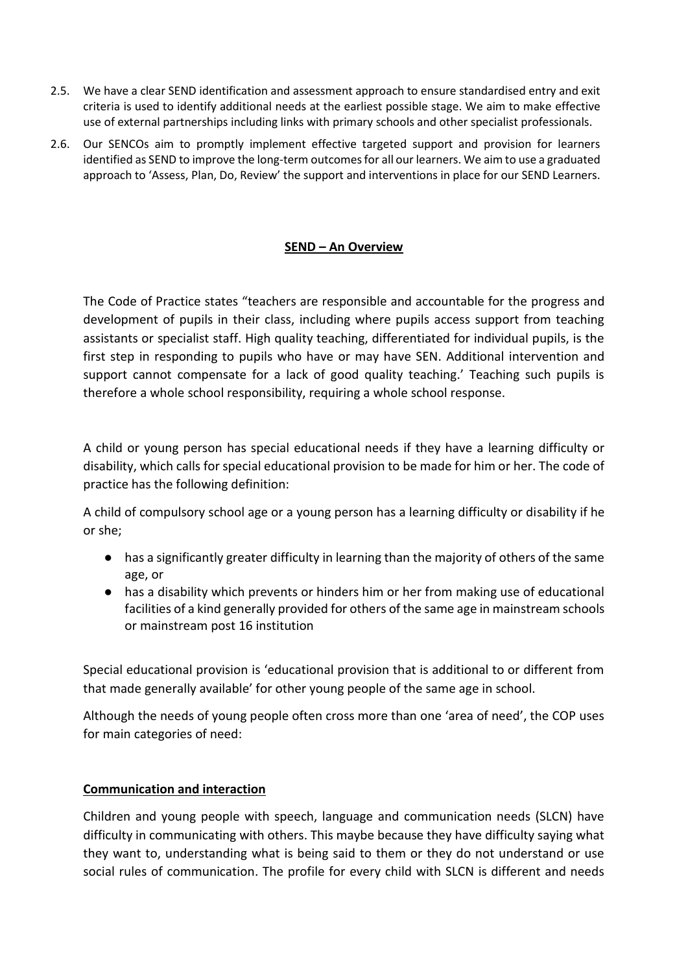- 2.5. We have a clear SEND identification and assessment approach to ensure standardised entry and exit criteria is used to identify additional needs at the earliest possible stage. We aim to make effective use of external partnerships including links with primary schools and other specialist professionals.
- 2.6. Our SENCOs aim to promptly implement effective targeted support and provision for learners identified as SEND to improve the long-term outcomes for all our learners. We aim to use a graduated approach to 'Assess, Plan, Do, Review' the support and interventions in place for our SEND Learners.

#### **SEND – An Overview**

The Code of Practice states "teachers are responsible and accountable for the progress and development of pupils in their class, including where pupils access support from teaching assistants or specialist staff. High quality teaching, differentiated for individual pupils, is the first step in responding to pupils who have or may have SEN. Additional intervention and support cannot compensate for a lack of good quality teaching.' Teaching such pupils is therefore a whole school responsibility, requiring a whole school response.

A child or young person has special educational needs if they have a learning difficulty or disability, which calls for special educational provision to be made for him or her. The code of practice has the following definition:

A child of compulsory school age or a young person has a learning difficulty or disability if he or she;

- has a significantly greater difficulty in learning than the majority of others of the same age, or
- has a disability which prevents or hinders him or her from making use of educational facilities of a kind generally provided for others of the same age in mainstream schools or mainstream post 16 institution

Special educational provision is 'educational provision that is additional to or different from that made generally available' for other young people of the same age in school.

Although the needs of young people often cross more than one 'area of need', the COP uses for main categories of need:

#### **Communication and interaction**

Children and young people with speech, language and communication needs (SLCN) have difficulty in communicating with others. This maybe because they have difficulty saying what they want to, understanding what is being said to them or they do not understand or use social rules of communication. The profile for every child with SLCN is different and needs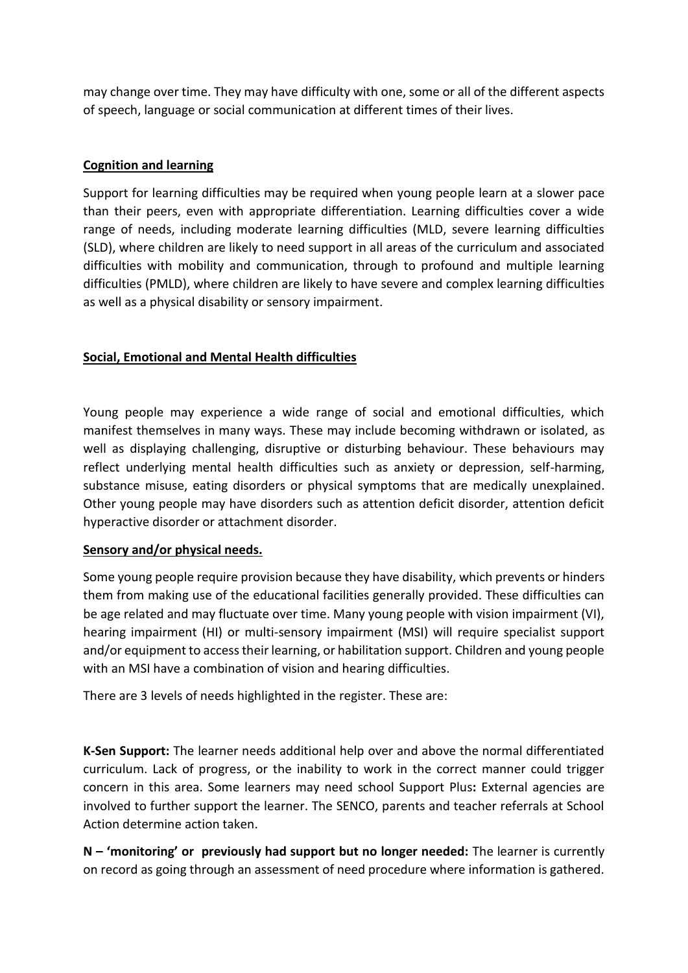may change over time. They may have difficulty with one, some or all of the different aspects of speech, language or social communication at different times of their lives.

#### **Cognition and learning**

Support for learning difficulties may be required when young people learn at a slower pace than their peers, even with appropriate differentiation. Learning difficulties cover a wide range of needs, including moderate learning difficulties (MLD, severe learning difficulties (SLD), where children are likely to need support in all areas of the curriculum and associated difficulties with mobility and communication, through to profound and multiple learning difficulties (PMLD), where children are likely to have severe and complex learning difficulties as well as a physical disability or sensory impairment.

#### **Social, Emotional and Mental Health difficulties**

Young people may experience a wide range of social and emotional difficulties, which manifest themselves in many ways. These may include becoming withdrawn or isolated, as well as displaying challenging, disruptive or disturbing behaviour. These behaviours may reflect underlying mental health difficulties such as anxiety or depression, self-harming, substance misuse, eating disorders or physical symptoms that are medically unexplained. Other young people may have disorders such as attention deficit disorder, attention deficit hyperactive disorder or attachment disorder.

#### **Sensory and/or physical needs.**

Some young people require provision because they have disability, which prevents or hinders them from making use of the educational facilities generally provided. These difficulties can be age related and may fluctuate over time. Many young people with vision impairment (VI), hearing impairment (HI) or multi-sensory impairment (MSI) will require specialist support and/or equipment to access their learning, or habilitation support. Children and young people with an MSI have a combination of vision and hearing difficulties.

There are 3 levels of needs highlighted in the register. These are:

**K-Sen Support:** The learner needs additional help over and above the normal differentiated curriculum. Lack of progress, or the inability to work in the correct manner could trigger concern in this area. Some learners may need school Support Plus**:** External agencies are involved to further support the learner. The SENCO, parents and teacher referrals at School Action determine action taken.

**N – 'monitoring' or previously had support but no longer needed:** The learner is currently on record as going through an assessment of need procedure where information is gathered.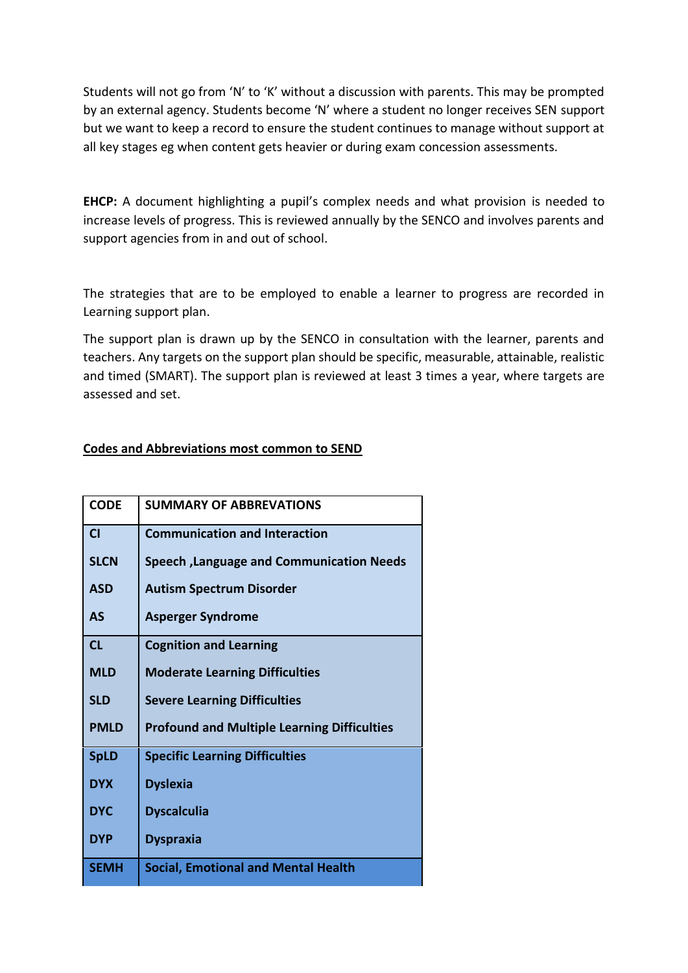Students will not go from 'N' to 'K' without a discussion with parents. This may be prompted by an external agency. Students become 'N' where a student no longer receives SEN support but we want to keep a record to ensure the student continues to manage without support at all key stages eg when content gets heavier or during exam concession assessments.

**EHCP:** A document highlighting a pupil's complex needs and what provision is needed to increase levels of progress. This is reviewed annually by the SENCO and involves parents and support agencies from in and out of school.

The strategies that are to be employed to enable a learner to progress are recorded in Learning support plan.

The support plan is drawn up by the SENCO in consultation with the learner, parents and teachers. Any targets on the support plan should be specific, measurable, attainable, realistic and timed (SMART). The support plan is reviewed at least 3 times a year, where targets are assessed and set.

#### **Codes and Abbreviations most common to SEND**

| <b>CODE</b>    | <b>SUMMARY OF ABBREVATIONS</b>                     |  |  |
|----------------|----------------------------------------------------|--|--|
| $\overline{c}$ | <b>Communication and Interaction</b>               |  |  |
| <b>SLCN</b>    | <b>Speech, Language and Communication Needs</b>    |  |  |
| <b>ASD</b>     | <b>Autism Spectrum Disorder</b>                    |  |  |
| AS             | <b>Asperger Syndrome</b>                           |  |  |
| CL             | <b>Cognition and Learning</b>                      |  |  |
| <b>MLD</b>     | <b>Moderate Learning Difficulties</b>              |  |  |
| <b>SLD</b>     | <b>Severe Learning Difficulties</b>                |  |  |
| <b>PMLD</b>    | <b>Profound and Multiple Learning Difficulties</b> |  |  |
| <b>SpLD</b>    | <b>Specific Learning Difficulties</b>              |  |  |
| <b>DYX</b>     | <b>Dyslexia</b>                                    |  |  |
| <b>DYC</b>     | <b>Dyscalculia</b>                                 |  |  |
| <b>DYP</b>     | <b>Dyspraxia</b>                                   |  |  |
| <b>SEMH</b>    | <b>Social, Emotional and Mental Health</b>         |  |  |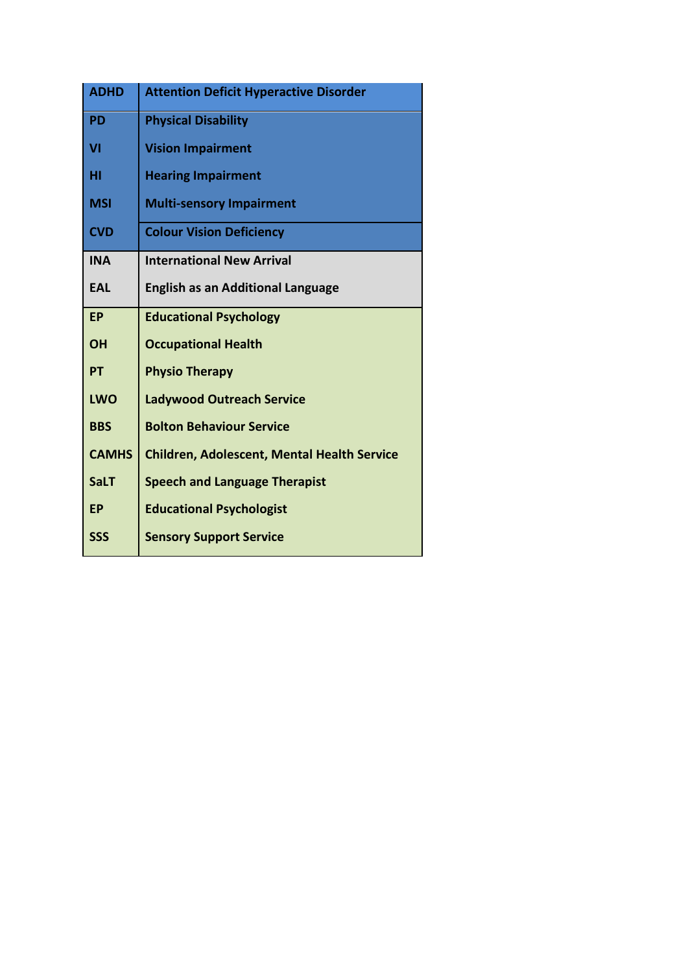| <b>ADHD</b>  | <b>Attention Deficit Hyperactive Disorder</b>      |  |  |
|--------------|----------------------------------------------------|--|--|
| <b>PD</b>    | <b>Physical Disability</b>                         |  |  |
| VI           | <b>Vision Impairment</b>                           |  |  |
| HI           | <b>Hearing Impairment</b>                          |  |  |
| <b>MSI</b>   | <b>Multi-sensory Impairment</b>                    |  |  |
| <b>CVD</b>   | <b>Colour Vision Deficiency</b>                    |  |  |
| <b>INA</b>   | <b>International New Arrival</b>                   |  |  |
| <b>EAL</b>   | <b>English as an Additional Language</b>           |  |  |
| <b>EP</b>    | <b>Educational Psychology</b>                      |  |  |
| <b>OH</b>    | <b>Occupational Health</b>                         |  |  |
| PT           | <b>Physio Therapy</b>                              |  |  |
| LWO          | <b>Ladywood Outreach Service</b>                   |  |  |
| <b>BBS</b>   | <b>Bolton Behaviour Service</b>                    |  |  |
| <b>CAMHS</b> | <b>Children, Adolescent, Mental Health Service</b> |  |  |
| <b>SaLT</b>  | <b>Speech and Language Therapist</b>               |  |  |
| <b>EP</b>    | <b>Educational Psychologist</b>                    |  |  |
| <b>SSS</b>   | <b>Sensory Support Service</b>                     |  |  |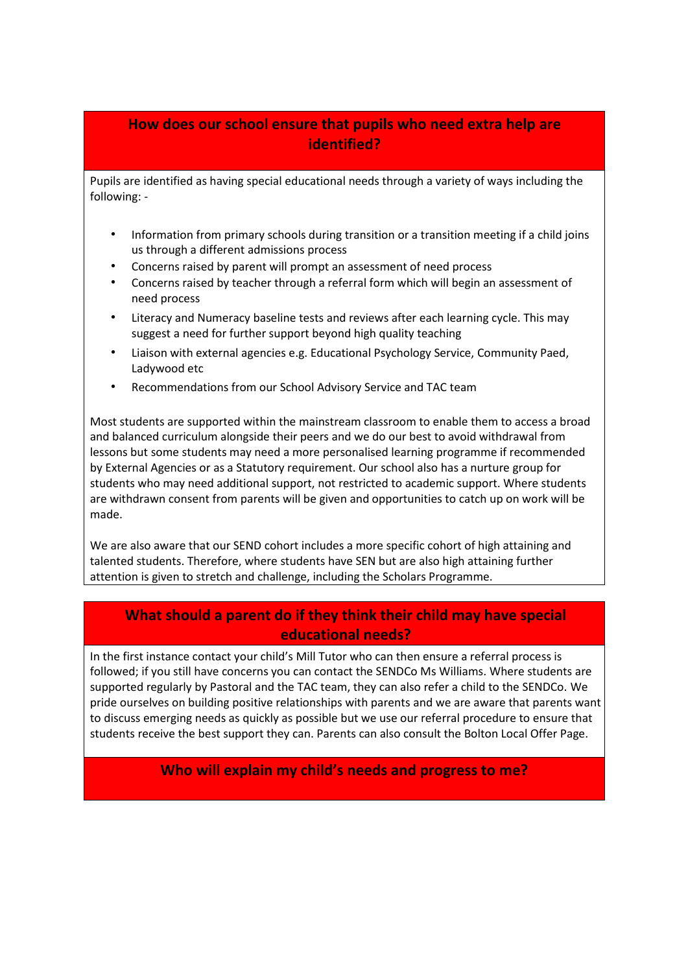# **How does our school ensure that pupils who need extra help are identified?**

Pupils are identified as having special educational needs through a variety of ways including the following: -

- Information from primary schools during transition or a transition meeting if a child joins us through a different admissions process
- Concerns raised by parent will prompt an assessment of need process
- Concerns raised by teacher through a referral form which will begin an assessment of need process
- Literacy and Numeracy baseline tests and reviews after each learning cycle. This may suggest a need for further support beyond high quality teaching
- Liaison with external agencies e.g. Educational Psychology Service, Community Paed, Ladywood etc
- Recommendations from our School Advisory Service and TAC team

Most students are supported within the mainstream classroom to enable them to access a broad and balanced curriculum alongside their peers and we do our best to avoid withdrawal from lessons but some students may need a more personalised learning programme if recommended by External Agencies or as a Statutory requirement. Our school also has a nurture group for students who may need additional support, not restricted to academic support. Where students are withdrawn consent from parents will be given and opportunities to catch up on work will be made.

We are also aware that our SEND cohort includes a more specific cohort of high attaining and talented students. Therefore, where students have SEN but are also high attaining further attention is given to stretch and challenge, including the Scholars Programme.

# **What should a parent do if they think their child may have special educational needs?**

In the first instance contact your child's Mill Tutor who can then ensure a referral process is followed; if you still have concerns you can contact the SENDCo Ms Williams. Where students are supported regularly by Pastoral and the TAC team, they can also refer a child to the SENDCo. We pride ourselves on building positive relationships with parents and we are aware that parents want to discuss emerging needs as quickly as possible but we use our referral procedure to ensure that students receive the best support they can. Parents can also consult the Bolton Local Offer Page.

#### **Who will explain my child's needs and progress to me?**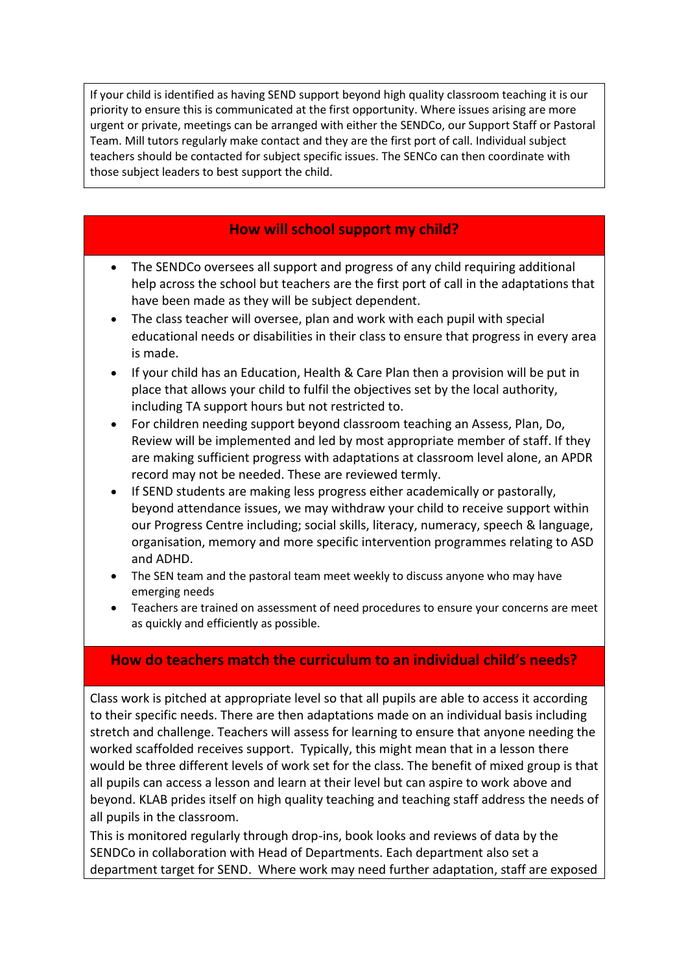If your child is identified as having SEND support beyond high quality classroom teaching it is our priority to ensure this is communicated at the first opportunity. Where issues arising are more urgent or private, meetings can be arranged with either the SENDCo, our Support Staff or Pastoral Team. Mill tutors regularly make contact and they are the first port of call. Individual subject teachers should be contacted for subject specific issues. The SENCo can then coordinate with those subject leaders to best support the child.

### **How will school support my child?**

- The SENDCo oversees all support and progress of any child requiring additional help across the school but teachers are the first port of call in the adaptations that have been made as they will be subject dependent.
- The class teacher will oversee, plan and work with each pupil with special educational needs or disabilities in their class to ensure that progress in every area is made.
- If your child has an Education, Health & Care Plan then a provision will be put in place that allows your child to fulfil the objectives set by the local authority, including TA support hours but not restricted to.
- For children needing support beyond classroom teaching an Assess, Plan, Do, Review will be implemented and led by most appropriate member of staff. If they are making sufficient progress with adaptations at classroom level alone, an APDR record may not be needed. These are reviewed termly.
- If SEND students are making less progress either academically or pastorally, beyond attendance issues, we may withdraw your child to receive support within our Progress Centre including; social skills, literacy, numeracy, speech & language, organisation, memory and more specific intervention programmes relating to ASD and ADHD.
- The SEN team and the pastoral team meet weekly to discuss anyone who may have emerging needs
- Teachers are trained on assessment of need procedures to ensure your concerns are meet as quickly and efficiently as possible.

#### **How do teachers match the curriculum to an individual child's needs?**

Class work is pitched at appropriate level so that all pupils are able to access it according to their specific needs. There are then adaptations made on an individual basis including stretch and challenge. Teachers will assess for learning to ensure that anyone needing the worked scaffolded receives support. Typically, this might mean that in a lesson there would be three different levels of work set for the class. The benefit of mixed group is that all pupils can access a lesson and learn at their level but can aspire to work above and beyond. KLAB prides itself on high quality teaching and teaching staff address the needs of all pupils in the classroom.

This is monitored regularly through drop-ins, book looks and reviews of data by the SENDCo in collaboration with Head of Departments. Each department also set a department target for SEND. Where work may need further adaptation, staff are exposed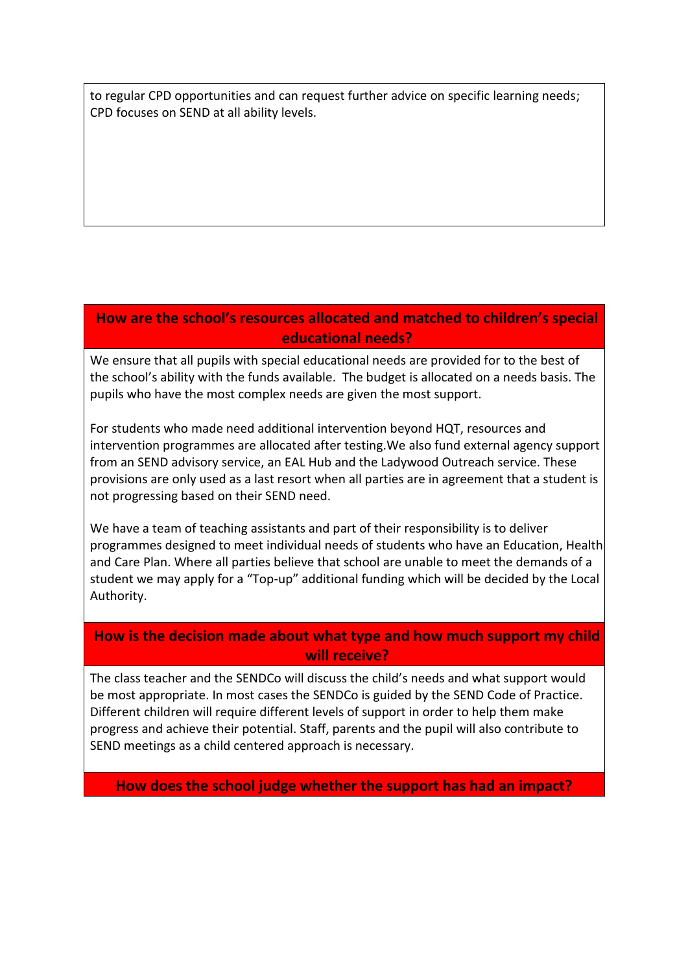to regular CPD opportunities and can request further advice on specific learning needs; CPD focuses on SEND at all ability levels.

# **How are the school's resources allocated and matched to children's special educational needs?**

We ensure that all pupils with special educational needs are provided for to the best of the school's ability with the funds available. The budget is allocated on a needs basis. The pupils who have the most complex needs are given the most support.

For students who made need additional intervention beyond HQT, resources and intervention programmes are allocated after testing.We also fund external agency support from an SEND advisory service, an EAL Hub and the Ladywood Outreach service. These provisions are only used as a last resort when all parties are in agreement that a student is not progressing based on their SEND need.

We have a team of teaching assistants and part of their responsibility is to deliver programmes designed to meet individual needs of students who have an Education, Health and Care Plan. Where all parties believe that school are unable to meet the demands of a student we may apply for a "Top-up" additional funding which will be decided by the Local Authority.

### **How is the decision made about what type and how much support my child will receive?**

The class teacher and the SENDCo will discuss the child's needs and what support would be most appropriate. In most cases the SENDCo is guided by the SEND Code of Practice. Different children will require different levels of support in order to help them make progress and achieve their potential. Staff, parents and the pupil will also contribute to SEND meetings as a child centered approach is necessary.

**How does the school judge whether the support has had an impact?**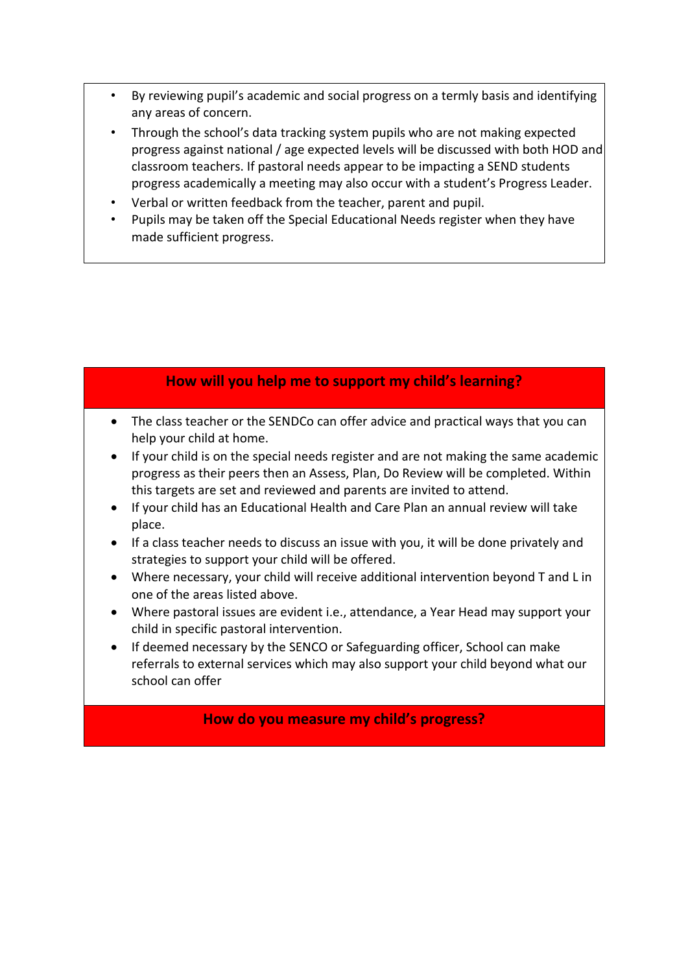- By reviewing pupil's academic and social progress on a termly basis and identifying any areas of concern.
- Through the school's data tracking system pupils who are not making expected progress against national / age expected levels will be discussed with both HOD and classroom teachers. If pastoral needs appear to be impacting a SEND students progress academically a meeting may also occur with a student's Progress Leader.
- Verbal or written feedback from the teacher, parent and pupil.
- Pupils may be taken off the Special Educational Needs register when they have made sufficient progress.

# **How will you help me to support my child's learning?**

- The class teacher or the SENDCo can offer advice and practical ways that you can help your child at home.
- If your child is on the special needs register and are not making the same academic progress as their peers then an Assess, Plan, Do Review will be completed. Within this targets are set and reviewed and parents are invited to attend.
- If your child has an Educational Health and Care Plan an annual review will take place.
- If a class teacher needs to discuss an issue with you, it will be done privately and strategies to support your child will be offered.
- Where necessary, your child will receive additional intervention beyond T and L in one of the areas listed above.
- Where pastoral issues are evident i.e., attendance, a Year Head may support your child in specific pastoral intervention.
- If deemed necessary by the SENCO or Safeguarding officer, School can make referrals to external services which may also support your child beyond what our school can offer

#### **How do you measure my child's progress?**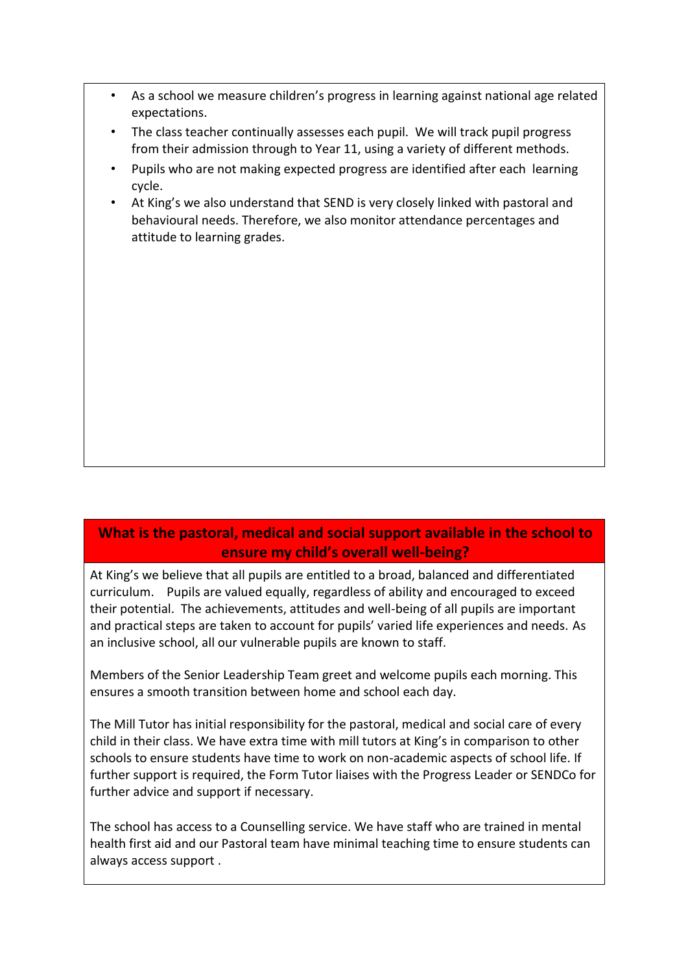- As a school we measure children's progress in learning against national age related expectations.
- The class teacher continually assesses each pupil. We will track pupil progress from their admission through to Year 11, using a variety of different methods.
- Pupils who are not making expected progress are identified after each learning cycle.
- At King's we also understand that SEND is very closely linked with pastoral and behavioural needs. Therefore, we also monitor attendance percentages and attitude to learning grades.

# **What is the pastoral, medical and social support available in the school to ensure my child's overall well-being?**

At King's we believe that all pupils are entitled to a broad, balanced and differentiated curriculum. Pupils are valued equally, regardless of ability and encouraged to exceed their potential. The achievements, attitudes and well-being of all pupils are important and practical steps are taken to account for pupils' varied life experiences and needs. As an inclusive school, all our vulnerable pupils are known to staff.

Members of the Senior Leadership Team greet and welcome pupils each morning. This ensures a smooth transition between home and school each day.

The Mill Tutor has initial responsibility for the pastoral, medical and social care of every child in their class. We have extra time with mill tutors at King's in comparison to other schools to ensure students have time to work on non-academic aspects of school life. If further support is required, the Form Tutor liaises with the Progress Leader or SENDCo for further advice and support if necessary.

The school has access to a Counselling service. We have staff who are trained in mental health first aid and our Pastoral team have minimal teaching time to ensure students can always access support .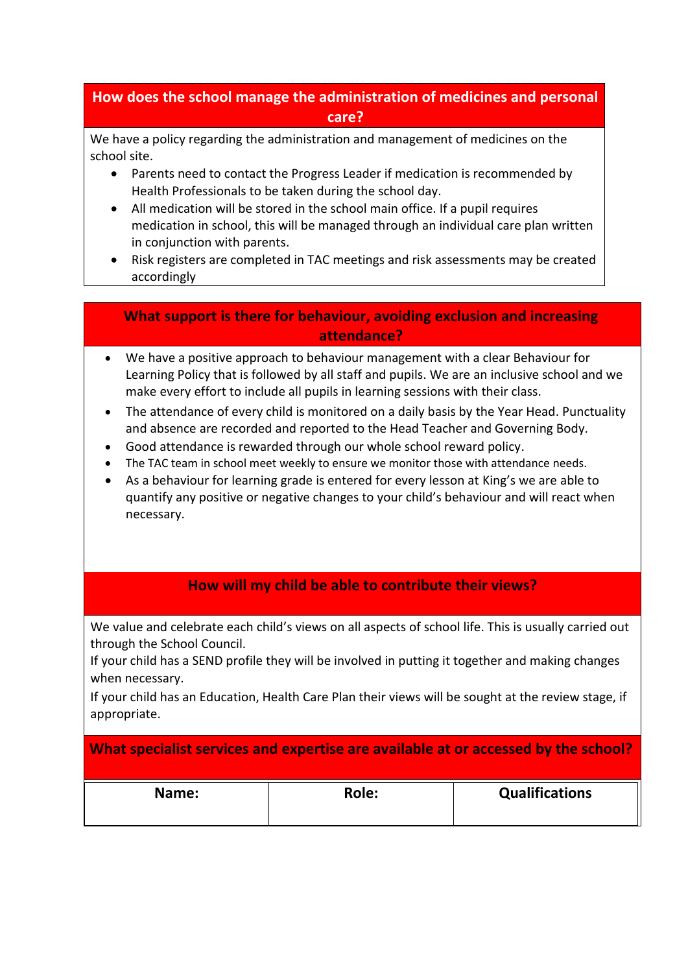# **How does the school manage the administration of medicines and personal care?**

We have a policy regarding the administration and management of medicines on the school site.

- Parents need to contact the Progress Leader if medication is recommended by Health Professionals to be taken during the school day.
- All medication will be stored in the school main office. If a pupil requires medication in school, this will be managed through an individual care plan written in conjunction with parents.
- Risk registers are completed in TAC meetings and risk assessments may be created accordingly

# **What support is there for behaviour, avoiding exclusion and increasing attendance?**

- We have a positive approach to behaviour management with a clear Behaviour for Learning Policy that is followed by all staff and pupils. We are an inclusive school and we make every effort to include all pupils in learning sessions with their class.
- The attendance of every child is monitored on a daily basis by the Year Head. Punctuality and absence are recorded and reported to the Head Teacher and Governing Body.
- Good attendance is rewarded through our whole school reward policy.
- The TAC team in school meet weekly to ensure we monitor those with attendance needs.
- As a behaviour for learning grade is entered for every lesson at King's we are able to quantify any positive or negative changes to your child's behaviour and will react when necessary.

#### **How will my child be able to contribute their views?**

We value and celebrate each child's views on all aspects of school life. This is usually carried out through the School Council.

If your child has a SEND profile they will be involved in putting it together and making changes when necessary.

If your child has an Education, Health Care Plan their views will be sought at the review stage, if appropriate.

#### **What specialist services and expertise are available at or accessed by the school?**

| Name: | Role: | <b>Qualifications</b> |
|-------|-------|-----------------------|
|       |       |                       |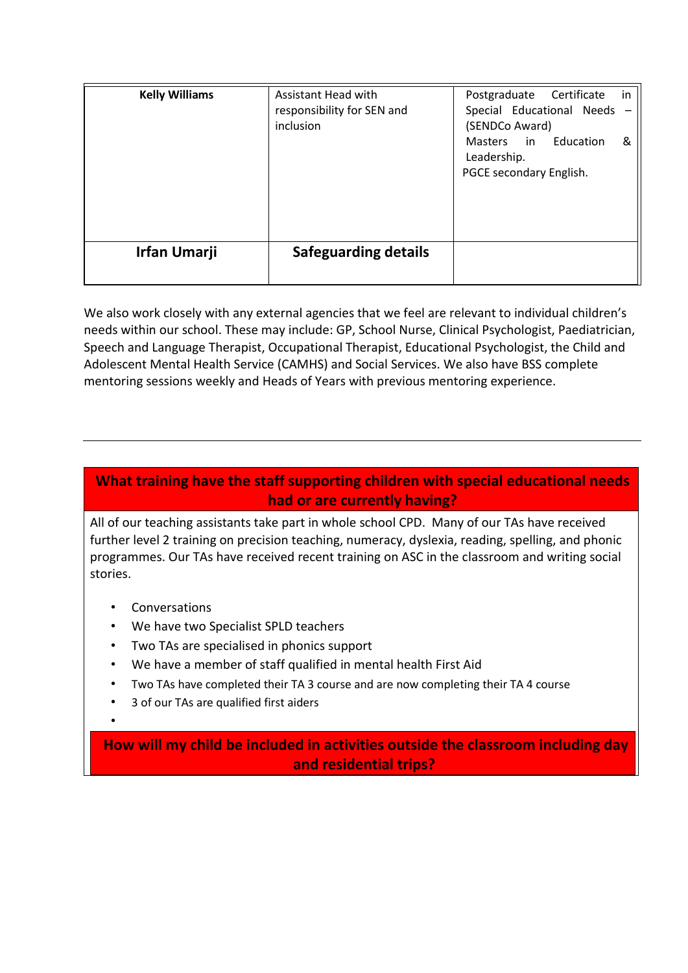| <b>Kelly Williams</b> | Assistant Head with<br>responsibility for SEN and<br>inclusion | Postgraduate Certificate<br>in<br>Special Educational Needs -<br>(SENDCo Award)<br>Masters in Education<br>&<br>Leadership.<br>PGCE secondary English. |
|-----------------------|----------------------------------------------------------------|--------------------------------------------------------------------------------------------------------------------------------------------------------|
| Irfan Umarji          | <b>Safeguarding details</b>                                    |                                                                                                                                                        |

We also work closely with any external agencies that we feel are relevant to individual children's needs within our school. These may include: GP, School Nurse, Clinical Psychologist, Paediatrician, Speech and Language Therapist, Occupational Therapist, Educational Psychologist, the Child and Adolescent Mental Health Service (CAMHS) and Social Services. We also have BSS complete mentoring sessions weekly and Heads of Years with previous mentoring experience.

# **What training have the staff supporting children with special educational needs had or are currently having?**

All of our teaching assistants take part in whole school CPD. Many of our TAs have received further level 2 training on precision teaching, numeracy, dyslexia, reading, spelling, and phonic programmes. Our TAs have received recent training on ASC in the classroom and writing social stories.

- Conversations
- We have two Specialist SPLD teachers
- Two TAs are specialised in phonics support
- We have a member of staff qualified in mental health First Aid
- Two TAs have completed their TA 3 course and are now completing their TA 4 course
- 3 of our TAs are qualified first aiders
- •

**How will my child be included in activities outside the classroom including day and residential trips?**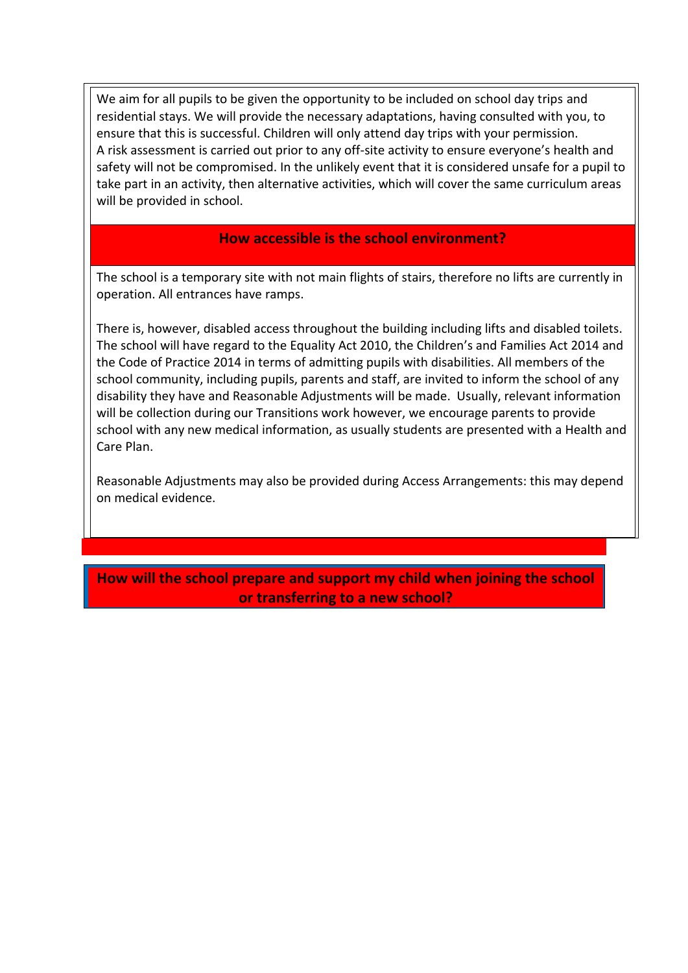We aim for all pupils to be given the opportunity to be included on school day trips and residential stays. We will provide the necessary adaptations, having consulted with you, to ensure that this is successful. Children will only attend day trips with your permission. A risk assessment is carried out prior to any off-site activity to ensure everyone's health and safety will not be compromised. In the unlikely event that it is considered unsafe for a pupil to take part in an activity, then alternative activities, which will cover the same curriculum areas will be provided in school.

#### **How accessible is the school environment?**

The school is a temporary site with not main flights of stairs, therefore no lifts are currently in operation. All entrances have ramps.

There is, however, disabled access throughout the building including lifts and disabled toilets. The school will have regard to the Equality Act 2010, the Children's and Families Act 2014 and the Code of Practice 2014 in terms of admitting pupils with disabilities. All members of the school community, including pupils, parents and staff, are invited to inform the school of any disability they have and Reasonable Adjustments will be made. Usually, relevant information will be collection during our Transitions work however, we encourage parents to provide school with any new medical information, as usually students are presented with a Health and Care Plan.

Reasonable Adjustments may also be provided during Access Arrangements: this may depend on medical evidence.

**How will the school prepare and support my child when joining the school or transferring to a new school?**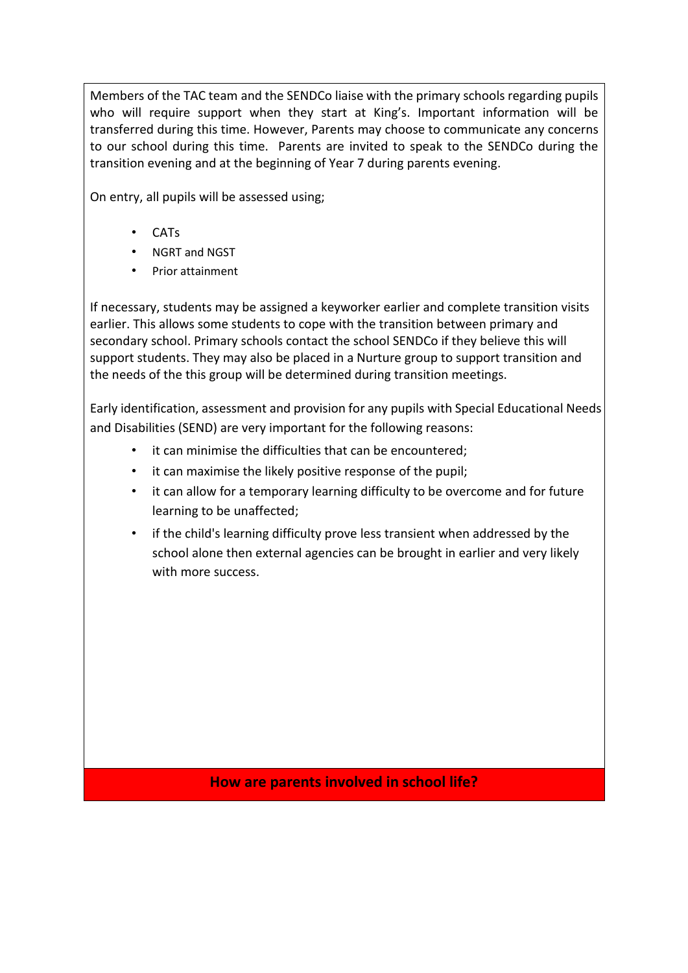Members of the TAC team and the SENDCo liaise with the primary schools regarding pupils who will require support when they start at King's. Important information will be transferred during this time. However, Parents may choose to communicate any concerns to our school during this time. Parents are invited to speak to the SENDCo during the transition evening and at the beginning of Year 7 during parents evening.

On entry, all pupils will be assessed using;

- CATs
- NGRT and NGST
- Prior attainment

If necessary, students may be assigned a keyworker earlier and complete transition visits earlier. This allows some students to cope with the transition between primary and secondary school. Primary schools contact the school SENDCo if they believe this will support students. They may also be placed in a Nurture group to support transition and the needs of the this group will be determined during transition meetings.

Early identification, assessment and provision for any pupils with Special Educational Needs and Disabilities (SEND) are very important for the following reasons:

- it can minimise the difficulties that can be encountered;
- it can maximise the likely positive response of the pupil;
- it can allow for a temporary learning difficulty to be overcome and for future learning to be unaffected;
- if the child's learning difficulty prove less transient when addressed by the school alone then external agencies can be brought in earlier and very likely with more success.

**How are parents involved in school life?**